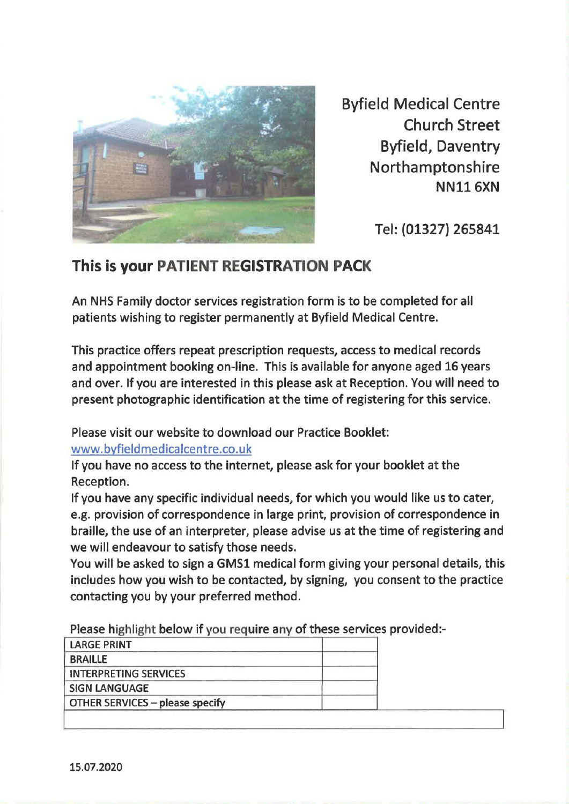

Byfield Medical Centre Church Street Byfield, Daventry Northamptonshire **NN116XN** 

Tel: (01327) 265841

I

# **This is your PATIENT REGISTRATION PACK**

An NHS Family doctor services registration form is to be completed for all patients wishing to register permanently at Byfield Medical Centre.

This practice offers repeat prescription requests, access to medical records and appointment booking on-line. This is available for anyone aged 16 years and over. If you are interested in this please ask at Reception. You will need to present photographic identification at the time of registering for this service.

Please visit our website to download our Practice Booklet:

## <www.byfieldmedicalcentre.co.uk>

If you have no access to the internet, please ask for your booklet at the Reception.

If you have any specific individual needs, for which you would like us to cater, e.g. provision of correspondence in large print, provision of correspondence in braille, the use of an interpreter, please advise us at the time of registering and we will endeavour to satisfy those needs.

You will be asked to sign a GMS1 medical form giving your personal details, this includes how you wish to be contacted, by signing, you consent to the practice contacting you by your preferred method.

Please highlight below if you require any of these services provided:-

| <b>LARGE PRINT</b>              |  |
|---------------------------------|--|
| <b>BRAILLE</b>                  |  |
| INTERPRETING SERVICES           |  |
| <b>SIGN LANGUAGE</b>            |  |
| OTHER SERVICES - please specify |  |
|                                 |  |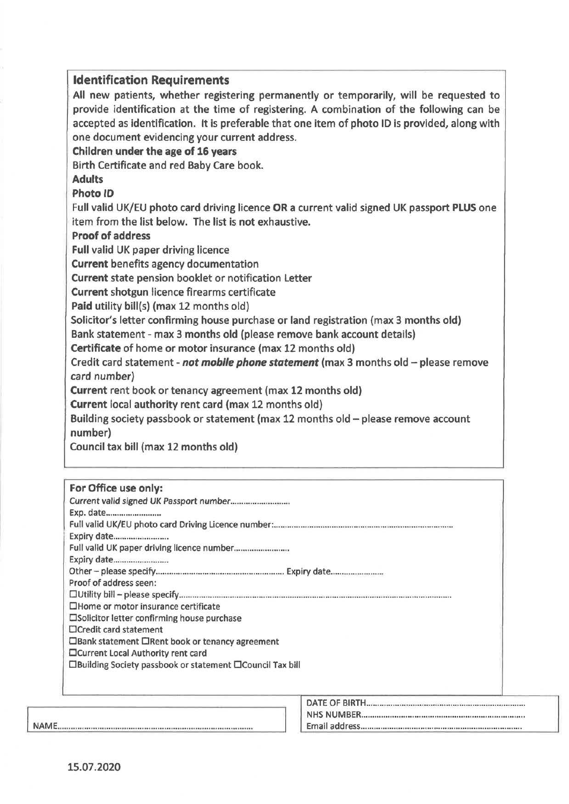### **Identification Requirements**

All new patients, whether registering permanently or temporarily, will be requested to provide identification at the time of registering. A combination of the following can be accepted as identification. It is preferable that one item of photo ID is provided, along with one document evidencing your current address.

**Children under the age of 16 years** 

Birth Certificate and red Baby Care book.

### **Adults**

**Photo ID** 

Full valid UK/EU photo card driving licence **OR** a current valid signed UK passport **PLUS** one item from the list below. The list is not exhaustive.

### **Proof of address**

**Full** valid UK paper driving licence

**Current** benefits agency documentation

**Current** state pension booklet or notification Letter

**Current** shotgun licence firearms certificate

**Paid** utility bill(s) (max 12 months old)

Solicitor's letter confirming house purchase or land registration (max 3 months old)

Bank statement - max 3 months old (please remove bank account details)

**Certificate** of home or motor insurance (max 12 months old)

Credit card statement - *not mobile phone statement* (max 3 months old - please remove card number)

**Current** rent book or tenancy agreement (max 12 months old)

**Current** local authority rent card (max 12 months old)

Building society passbook or statement (max 12 months old - please remove account number)

Council tax bill (max 12 months old)

| For Office use only:                                      |  |
|-----------------------------------------------------------|--|
|                                                           |  |
| Exp. date                                                 |  |
|                                                           |  |
| Expiry date                                               |  |
| Full valid UK paper driving licence number                |  |
| Expiry date                                               |  |
|                                                           |  |
| Proof of address seen:                                    |  |
|                                                           |  |
| <b>OHome or motor insurance certificate</b>               |  |
| <b>ISolicitor letter confirming house purchase</b>        |  |
| <b>OCredit card statement</b>                             |  |
| □ Bank statement □ Rent book or tenancy agreement         |  |
| <b>Current Local Authority rent card</b>                  |  |
| □Building Society passbook or statement □Council Tax bill |  |

DATE OF BIRTH ....................................................................... . NHS NUMBER......................................................................... . Email address ........................................................................ .